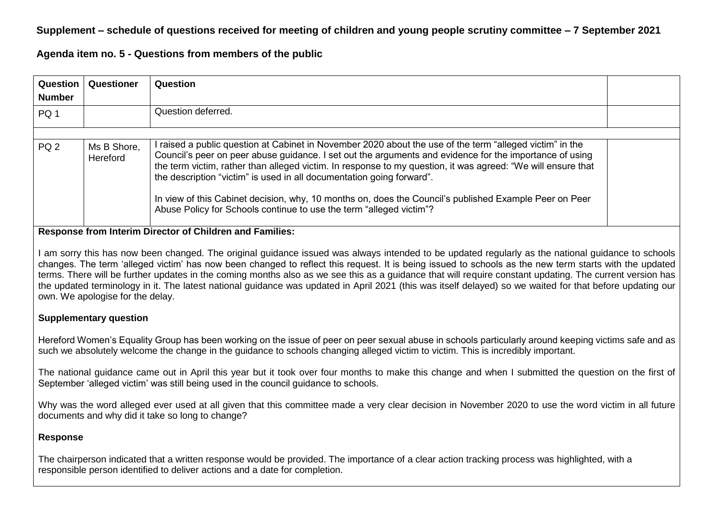# **Supplement – schedule of questions received for meeting of children and young people scrutiny committee – 7 September 2021**

**Agenda item no. 5 - Questions from members of the public**

| Question  <br><b>Number</b> | Questioner              | <b>Question</b>                                                                                                                                                                                                                                                                                                                                                                                                                                                                                                                                                                             |  |
|-----------------------------|-------------------------|---------------------------------------------------------------------------------------------------------------------------------------------------------------------------------------------------------------------------------------------------------------------------------------------------------------------------------------------------------------------------------------------------------------------------------------------------------------------------------------------------------------------------------------------------------------------------------------------|--|
| PQ 1                        |                         | Question deferred.                                                                                                                                                                                                                                                                                                                                                                                                                                                                                                                                                                          |  |
|                             |                         |                                                                                                                                                                                                                                                                                                                                                                                                                                                                                                                                                                                             |  |
| PQ <sub>2</sub>             | Ms B Shore,<br>Hereford | raised a public question at Cabinet in November 2020 about the use of the term "alleged victim" in the<br>Council's peer on peer abuse guidance. I set out the arguments and evidence for the importance of using<br>the term victim, rather than alleged victim. In response to my question, it was agreed: "We will ensure that<br>the description "victim" is used in all documentation going forward".<br>In view of this Cabinet decision, why, 10 months on, does the Council's published Example Peer on Peer<br>Abuse Policy for Schools continue to use the term "alleged victim"? |  |

#### **Response from Interim Director of Children and Families:**

I am sorry this has now been changed. The original guidance issued was always intended to be updated regularly as the national guidance to schools changes. The term 'alleged victim' has now been changed to reflect this request. It is being issued to schools as the new term starts with the updated terms. There will be further updates in the coming months also as we see this as a guidance that will require constant updating. The current version has the updated terminology in it. The latest national guidance was updated in April 2021 (this was itself delayed) so we waited for that before updating our own. We apologise for the delay.

### **Supplementary question**

Hereford Women's Equality Group has been working on the issue of peer on peer sexual abuse in schools particularly around keeping victims safe and as such we absolutely welcome the change in the guidance to schools changing alleged victim to victim. This is incredibly important.

The national guidance came out in April this year but it took over four months to make this change and when I submitted the question on the first of September 'alleged victim' was still being used in the council guidance to schools.

Why was the word alleged ever used at all given that this committee made a very clear decision in November 2020 to use the word victim in all future documents and why did it take so long to change?

### **Response**

The chairperson indicated that a written response would be provided. The importance of a clear action tracking process was highlighted, with a responsible person identified to deliver actions and a date for completion.